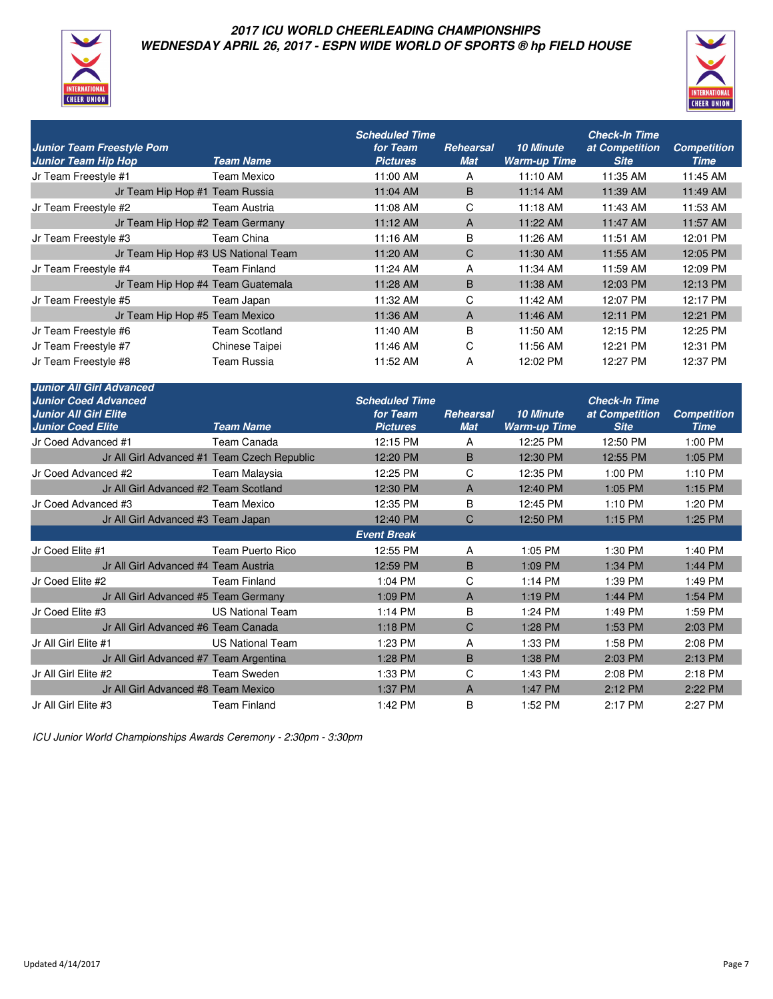

#### **2017 ICU WORLD CHEERLEADING CHAMPIONSHIPS WEDNESDAY APRIL 26, 2017 - ESPN WIDE WORLD OF SPORTS ® hp FIELD HOUSE**



| <b>Junior Team Freestyle Pom</b><br><b>Junior Team Hip Hop</b> | <b>Team Name</b>     | <b>Scheduled Time</b><br>for Team<br><b>Pictures</b> | Rehearsal<br><b>Mat</b> | <b>10 Minute</b><br><b>Warm-up Time</b> | <b>Check-In Time</b><br>at Competition<br><b>Site</b> | <b>Competition</b><br>Time |
|----------------------------------------------------------------|----------------------|------------------------------------------------------|-------------------------|-----------------------------------------|-------------------------------------------------------|----------------------------|
| Jr Team Freestyle #1                                           | Team Mexico          | 11:00 AM                                             | A                       | 11:10 AM                                | 11:35 AM                                              | 11:45 AM                   |
| Jr Team Hip Hop #1 Team Russia                                 |                      | 11:04 AM                                             | B                       | $11:14$ AM                              | 11:39 AM                                              | 11:49 AM                   |
| Jr Team Freestyle #2                                           | Team Austria         | 11:08 AM                                             | C                       | 11:18 AM                                | 11:43 AM                                              | 11:53 AM                   |
| Jr Team Hip Hop #2 Team Germany                                |                      | $11:12 \, \text{AM}$                                 | A                       | 11:22 AM                                | 11:47 AM                                              | 11:57 AM                   |
| Jr Team Freestyle #3                                           | Team China           | 11:16 AM                                             | B                       | 11:26 AM                                | 11:51 AM                                              | 12:01 PM                   |
| Jr Team Hip Hop #3 US National Team                            |                      | 11:20 AM                                             | C                       | 11:30 AM                                | 11:55 AM                                              | 12:05 PM                   |
| Jr Team Freestyle #4                                           | <b>Team Finland</b>  | 11:24 AM                                             | A                       | 11:34 AM                                | 11:59 AM                                              | 12:09 PM                   |
| Jr Team Hip Hop #4 Team Guatemala                              |                      | 11:28 AM                                             | B                       | 11:38 AM                                | 12:03 PM                                              | 12:13 PM                   |
| Jr Team Freestyle #5                                           | Team Japan           | 11:32 AM                                             | C                       | 11:42 AM                                | 12:07 PM                                              | 12:17 PM                   |
| Jr Team Hip Hop #5 Team Mexico                                 |                      | 11:36 AM                                             | A                       | 11:46 AM                                | 12:11 PM                                              | 12:21 PM                   |
| Jr Team Freestyle #6                                           | <b>Team Scotland</b> | 11:40 AM                                             | B                       | 11:50 AM                                | 12:15 PM                                              | 12:25 PM                   |
| Jr Team Freestyle #7                                           | Chinese Taipei       | 11:46 AM                                             | C                       | 11:56 AM                                | 12:21 PM                                              | 12:31 PM                   |
| Jr Team Freestyle #8                                           | Team Russia          | 11:52 AM                                             | A                       | 12:02 PM                                | 12:27 PM                                              | 12:37 PM                   |

| <b>Junior All Girl Advanced</b>                             |                         |                             |                         |                                         |                               |                            |
|-------------------------------------------------------------|-------------------------|-----------------------------|-------------------------|-----------------------------------------|-------------------------------|----------------------------|
| <b>Junior Coed Advanced</b><br><b>Junior All Girl Elite</b> |                         | <b>Scheduled Time</b>       |                         |                                         | <b>Check-In Time</b>          |                            |
| <b>Junior Coed Elite</b>                                    | <b>Team Name</b>        | for Team<br><b>Pictures</b> | Rehearsal<br><b>Mat</b> | <b>10 Minute</b><br><b>Warm-up Time</b> | at Competition<br><b>Site</b> | <b>Competition</b><br>Time |
| Jr Coed Advanced #1                                         | Team Canada             | 12:15 PM                    | A                       | 12:25 PM                                | 12:50 PM                      | 1:00 PM                    |
| Jr All Girl Advanced #1 Team Czech Republic                 |                         | 12:20 PM                    | B                       | 12:30 PM                                | 12:55 PM                      | 1:05 PM                    |
| Jr Coed Advanced #2                                         | Team Malaysia           | 12:25 PM                    | C                       | 12:35 PM                                | 1:00 PM                       | 1:10 PM                    |
| Jr All Girl Advanced #2 Team Scotland                       |                         | 12:30 PM                    | A                       | 12:40 PM                                | 1:05 PM                       | $1:15$ PM                  |
| Jr Coed Advanced #3                                         | Team Mexico             | 12:35 PM                    | В                       | 12:45 PM                                | 1:10 PM                       | 1:20 PM                    |
| Jr All Girl Advanced #3 Team Japan                          |                         | 12:40 PM                    | C                       | 12:50 PM                                | 1:15 PM                       | 1:25 PM                    |
|                                                             |                         | <b>Event Break</b>          |                         |                                         |                               |                            |
| Jr Coed Elite #1                                            | Team Puerto Rico        | 12:55 PM                    | Α                       | 1:05 PM                                 | 1:30 PM                       | 1:40 PM                    |
| Jr All Girl Advanced #4 Team Austria                        |                         | 12:59 PM                    | B                       | 1:09 PM                                 | 1:34 PM                       | 1:44 PM                    |
| Jr Coed Elite #2                                            | <b>Team Finland</b>     | 1:04 PM                     | C.                      | 1:14 PM                                 | 1:39 PM                       | 1:49 PM                    |
| Jr All Girl Advanced #5 Team Germany                        |                         | 1:09 PM                     | A                       | 1:19 PM                                 | 1:44 PM                       | 1:54 PM                    |
| Jr Coed Elite #3                                            | <b>US National Team</b> | 1:14 PM                     | B                       | 1:24 PM                                 | 1:49 PM                       | 1:59 PM                    |
| Jr All Girl Advanced #6 Team Canada                         |                         | 1:18 PM                     | C                       | 1:28 PM                                 | 1:53 PM                       | 2:03 PM                    |
| Jr All Girl Elite #1                                        | <b>US National Team</b> | 1:23 PM                     | A                       | 1:33 PM                                 | 1:58 PM                       | 2:08 PM                    |
| Jr All Girl Advanced #7 Team Argentina                      |                         | 1:28 PM                     | B                       | 1:38 PM                                 | 2:03 PM                       | 2:13 PM                    |
| Jr All Girl Elite #2                                        | <b>Team Sweden</b>      | 1:33 PM                     | C                       | 1:43 PM                                 | 2:08 PM                       | 2:18 PM                    |
| Jr All Girl Advanced #8 Team Mexico                         |                         | 1:37 PM                     | A                       | 1:47 PM                                 | 2:12 PM                       | 2:22 PM                    |
| Jr All Girl Elite #3                                        | <b>Team Finland</b>     | 1:42 PM                     | B                       | 1:52 PM                                 | 2:17 PM                       | 2:27 PM                    |

ICU Junior World Championships Awards Ceremony - 2:30pm - 3:30pm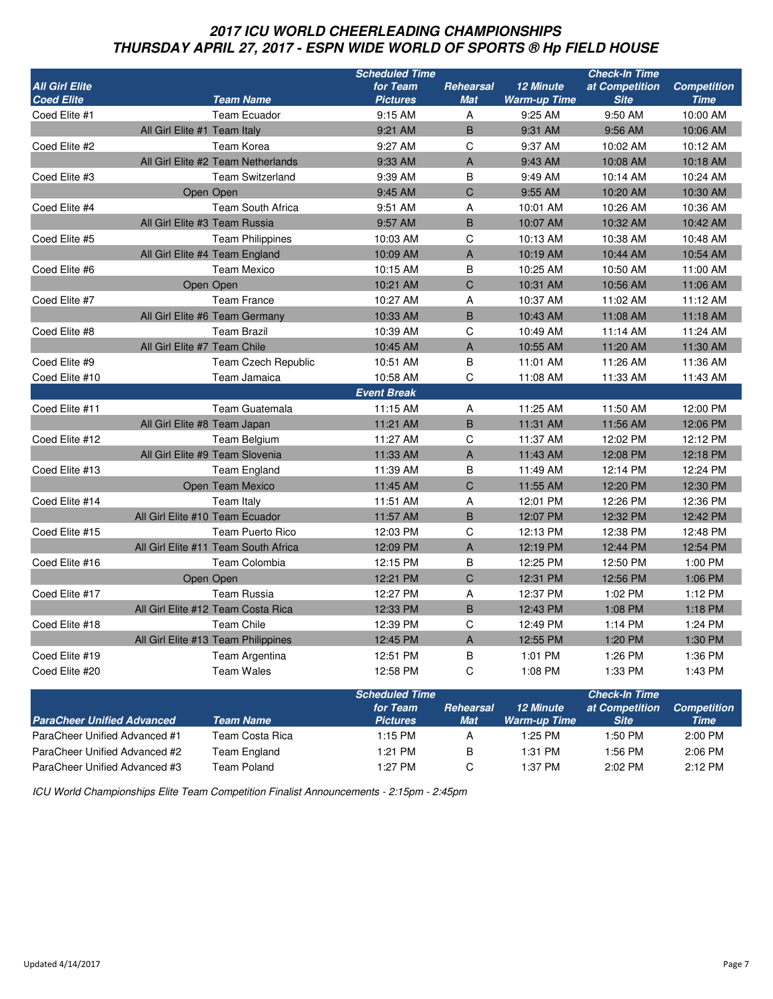# **2017 ICU WORLD CHEERLEADING CHAMPIONSHIPS THURSDAY APRIL 27, 2017 - ESPN WIDE WORLD OF SPORTS ® Hp FIELD HOUSE**

|                                   |                                      | <b>Scheduled Time</b> |            |                      | <b>Check-In Time</b> |                    |
|-----------------------------------|--------------------------------------|-----------------------|------------|----------------------|----------------------|--------------------|
| <b>All Girl Elite</b>             |                                      | for Team              | Rehearsal  | <b>12 Minute</b>     | at Competition       | <b>Competition</b> |
| <b>Coed Elite</b>                 | <b>Team Name</b>                     | <b>Pictures</b>       | <b>Mat</b> | <b>Warm-up Time</b>  | <b>Site</b>          | <b>Time</b>        |
| Coed Elite #1                     | <b>Team Ecuador</b>                  | 9:15 AM               | Α          | 9:25 AM              | 9:50 AM              | 10:00 AM           |
| All Girl Elite #1 Team Italy      |                                      | 9:21 AM               | B          | 9:31 AM              | 9:56 AM              | 10:06 AM           |
| Coed Elite #2                     | Team Korea                           | 9:27 AM               | C          | 9:37 AM              | 10:02 AM             | 10:12 AM           |
|                                   | All Girl Elite #2 Team Netherlands   | 9:33 AM               | A          | 9:43 AM              | 10:08 AM             | 10:18 AM           |
| Coed Elite #3                     | <b>Team Switzerland</b>              | 9:39 AM               | В          | 9:49 AM              | 10:14 AM             | 10:24 AM           |
|                                   | Open Open                            | 9:45 AM               | C          | 9:55 AM              | 10:20 AM             | 10:30 AM           |
| Coed Elite #4                     | Team South Africa                    | 9:51 AM               | Α          | 10:01 AM             | 10:26 AM             | 10:36 AM           |
| All Girl Elite #3 Team Russia     |                                      | 9:57 AM               | B          | 10:07 AM             | 10:32 AM             | 10:42 AM           |
| Coed Elite #5                     | <b>Team Philippines</b>              | 10:03 AM              | C          | 10:13 AM             | 10:38 AM             | 10:48 AM           |
|                                   | All Girl Elite #4 Team England       | 10:09 AM              | A          | 10:19 AM             | 10:44 AM             | 10:54 AM           |
| Coed Elite #6                     | <b>Team Mexico</b>                   | 10:15 AM              | В          | 10:25 AM             | 10:50 AM             | 11:00 AM           |
|                                   | Open Open                            | 10:21 AM              | C          | 10:31 AM             | 10:56 AM             | 11:06 AM           |
| Coed Elite #7                     | <b>Team France</b>                   | 10:27 AM              | Α          | 10:37 AM             | 11:02 AM             | 11:12 AM           |
|                                   | All Girl Elite #6 Team Germany       | 10:33 AM              | B          | 10:43 AM             | 11:08 AM             | 11:18 AM           |
| Coed Elite #8                     | <b>Team Brazil</b>                   | 10:39 AM              | C          | 10:49 AM             | 11:14 AM             | 11:24 AM           |
| All Girl Elite #7 Team Chile      |                                      | 10:45 AM              | A          | 10:55 AM             | 11:20 AM             | 11:30 AM           |
| Coed Elite #9                     | Team Czech Republic                  | 10:51 AM              | В          | 11:01 AM             | 11:26 AM             | 11:36 AM           |
| Coed Elite #10                    | Team Jamaica                         | 10:58 AM              | С          | 11:08 AM             | 11:33 AM             | 11:43 AM           |
|                                   |                                      | <b>Event Break</b>    |            |                      |                      |                    |
| Coed Elite #11                    | <b>Team Guatemala</b>                | 11:15 AM              | Α          | 11:25 AM             | 11:50 AM             | 12:00 PM           |
| All Girl Elite #8 Team Japan      |                                      | 11:21 AM              | B          | 11:31 AM             | 11:56 AM             | 12:06 PM           |
| Coed Elite #12                    | Team Belgium                         | 11:27 AM              | C          | 11:37 AM             | 12:02 PM             | 12:12 PM           |
|                                   | All Girl Elite #9 Team Slovenia      | 11:33 AM              | Α          | 11:43 AM             | 12:08 PM             | 12:18 PM           |
| Coed Elite #13                    | <b>Team England</b>                  | 11:39 AM              | В          | 11:49 AM             | 12:14 PM             | 12:24 PM           |
|                                   | Open Team Mexico                     | 11:45 AM              | C          | 11:55 AM             | 12:20 PM             | 12:30 PM           |
| Coed Elite #14                    | Team Italy                           | 11:51 AM              | Α          | 12:01 PM             | 12:26 PM             | 12:36 PM           |
| All Girl Elite #10 Team Ecuador   |                                      | 11:57 AM              | B          | 12:07 PM             | 12:32 PM             | 12:42 PM           |
| Coed Elite #15                    | <b>Team Puerto Rico</b>              | 12:03 PM              | С          | 12:13 PM             | 12:38 PM             | 12:48 PM           |
|                                   | All Girl Elite #11 Team South Africa | 12:09 PM              | A          | 12:19 PM             | 12:44 PM             | 12:54 PM           |
| Coed Elite #16                    |                                      | 12:15 PM              |            | 12:25 PM             | 12:50 PM             | 1:00 PM            |
|                                   | Team Colombia                        |                       | В          |                      | 12:56 PM             |                    |
|                                   | Open Open                            | 12:21 PM              | C          | 12:31 PM<br>12:37 PM |                      | 1:06 PM            |
| Coed Elite #17                    | <b>Team Russia</b>                   | 12:27 PM              | Α          |                      | 1:02 PM              | 1:12 PM            |
|                                   | All Girl Elite #12 Team Costa Rica   | 12:33 PM              | B          | 12:43 PM             | 1:08 PM              | 1:18 PM            |
| Coed Elite #18                    | <b>Team Chile</b>                    | 12:39 PM              | C          | 12:49 PM             | 1:14 PM              | 1:24 PM            |
|                                   | All Girl Elite #13 Team Philippines  | 12:45 PM              | A          | 12:55 PM             | 1:20 PM              | 1:30 PM            |
| Coed Elite #19                    | Team Argentina                       | 12:51 PM              | В          | 1:01 PM              | 1:26 PM              | 1:36 PM            |
| Coed Elite #20                    | <b>Team Wales</b>                    | 12:58 PM              | C          | 1:08 PM              | 1:33 PM              | 1:43 PM            |
|                                   |                                      | <b>Scheduled Time</b> |            |                      | <b>Check-In Time</b> |                    |
|                                   |                                      | for Team              | Rehearsal  | 12 Minute            | at Competition       | <b>Competition</b> |
| <b>ParaCheer Unified Advanced</b> | <b>Team Name</b>                     | <b>Pictures</b>       | <b>Mat</b> | <b>Warm-up Time</b>  | <b>Site</b>          | <b>Time</b>        |
| ParaCheer Unified Advanced #1     | Team Costa Rica                      | 1:15 PM               | Α          | 1:25 PM              | 1:50 PM              | 2:00 PM            |
| ParaCheer Unified Advanced #2     | <b>Team England</b>                  | 1:21 PM               | В          | 1:31 PM              | 1:56 PM              | 2:06 PM            |

ParaCheer Unified Advanced #3 Team Poland 1:27 PM C 1:37 PM 2:02 PM 2:12 PM

ICU World Championships Elite Team Competition Finalist Announcements - 2:15pm - 2:45pm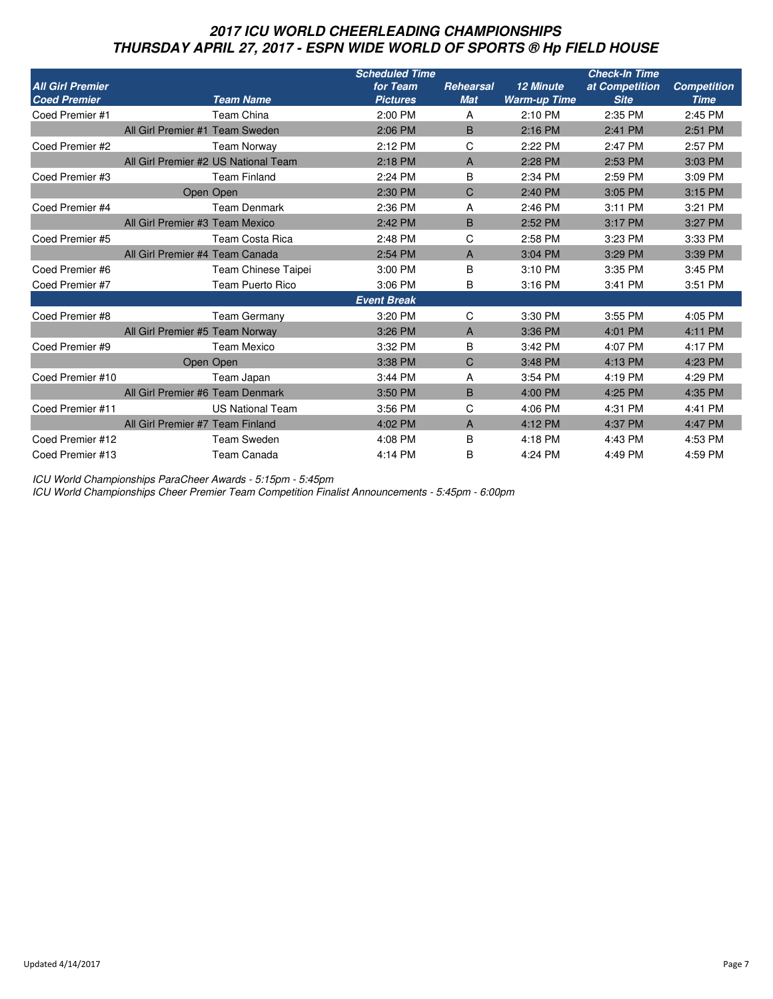# **2017 ICU WORLD CHEERLEADING CHAMPIONSHIPS THURSDAY APRIL 27, 2017 - ESPN WIDE WORLD OF SPORTS ® Hp FIELD HOUSE**

|                         |                                  |                                      | <b>Scheduled Time</b> |            |                     | <b>Check-In Time</b> |                    |
|-------------------------|----------------------------------|--------------------------------------|-----------------------|------------|---------------------|----------------------|--------------------|
| <b>All Girl Premier</b> |                                  |                                      | for Team              | Rehearsal  | <b>12 Minute</b>    | at Competition       | <b>Competition</b> |
| <b>Coed Premier</b>     |                                  | <b>Team Name</b>                     | <b>Pictures</b>       | <b>Mat</b> | <b>Warm-up Time</b> | <b>Site</b>          | <b>Time</b>        |
| Coed Premier #1         |                                  | Team China                           | 2:00 PM               | A          | 2:10 PM             | 2:35 PM              | 2:45 PM            |
|                         | All Girl Premier #1 Team Sweden  |                                      | 2:06 PM               | B          | 2:16 PM             | 2:41 PM              | 2:51 PM            |
| Coed Premier #2         |                                  | <b>Team Norway</b>                   | 2:12 PM               | C          | 2:22 PM             | 2:47 PM              | 2:57 PM            |
|                         |                                  | All Girl Premier #2 US National Team | 2:18 PM               | A          | 2:28 PM             | 2:53 PM              | 3:03 PM            |
| Coed Premier #3         |                                  | <b>Team Finland</b>                  | 2:24 PM               | B          | 2:34 PM             | 2:59 PM              | 3:09 PM            |
|                         |                                  | Open Open                            | 2:30 PM               | C          | 2:40 PM             | 3:05 PM              | 3:15 PM            |
| Coed Premier #4         |                                  | <b>Team Denmark</b>                  | 2:36 PM               | A          | 2:46 PM             | 3:11 PM              | 3:21 PM            |
|                         | All Girl Premier #3 Team Mexico  |                                      | 2:42 PM               | B          | 2:52 PM             | 3:17 PM              | 3:27 PM            |
| Coed Premier #5         |                                  | Team Costa Rica                      | 2:48 PM               | С          | 2:58 PM             | 3:23 PM              | 3:33 PM            |
|                         | All Girl Premier #4 Team Canada  |                                      | 2:54 PM               | A          | 3:04 PM             | 3:29 PM              | 3:39 PM            |
| Coed Premier #6         |                                  | <b>Team Chinese Taipei</b>           | 3:00 PM               | В          | 3:10 PM             | 3:35 PM              | 3:45 PM            |
| Coed Premier #7         |                                  | <b>Team Puerto Rico</b>              | 3:06 PM               | В          | 3:16 PM             | 3:41 PM              | 3:51 PM            |
|                         |                                  |                                      | <b>Event Break</b>    |            |                     |                      |                    |
| Coed Premier #8         |                                  | <b>Team Germany</b>                  | 3:20 PM               | C          | 3:30 PM             | 3:55 PM              | 4:05 PM            |
|                         | All Girl Premier #5 Team Norway  |                                      | 3:26 PM               | A          | 3:36 PM             | 4:01 PM              | 4:11 PM            |
| Coed Premier #9         |                                  | Team Mexico                          | 3:32 PM               | B          | 3:42 PM             | 4:07 PM              | 4:17 PM            |
|                         |                                  | Open Open                            | 3:38 PM               | C          | 3:48 PM             | 4:13 PM              | 4:23 PM            |
| Coed Premier #10        |                                  | Team Japan                           | 3:44 PM               | A          | 3:54 PM             | 4:19 PM              | 4:29 PM            |
|                         | All Girl Premier #6 Team Denmark |                                      | 3:50 PM               | B          | 4:00 PM             | 4:25 PM              | 4:35 PM            |
| Coed Premier #11        |                                  | <b>US National Team</b>              | 3:56 PM               | С          | 4:06 PM             | 4:31 PM              | 4:41 PM            |
|                         | All Girl Premier #7 Team Finland |                                      | 4:02 PM               | A          | 4:12 PM             | 4:37 PM              | 4:47 PM            |
| Coed Premier #12        |                                  | <b>Team Sweden</b>                   | 4:08 PM               | B          | 4:18 PM             | 4:43 PM              | 4:53 PM            |
| Coed Premier #13        |                                  | Team Canada                          | 4:14 PM               | В          | 4:24 PM             | 4:49 PM              | 4:59 PM            |

ICU World Championships ParaCheer Awards - 5:15pm - 5:45pm

ICU World Championships Cheer Premier Team Competition Finalist Announcements - 5:45pm - 6:00pm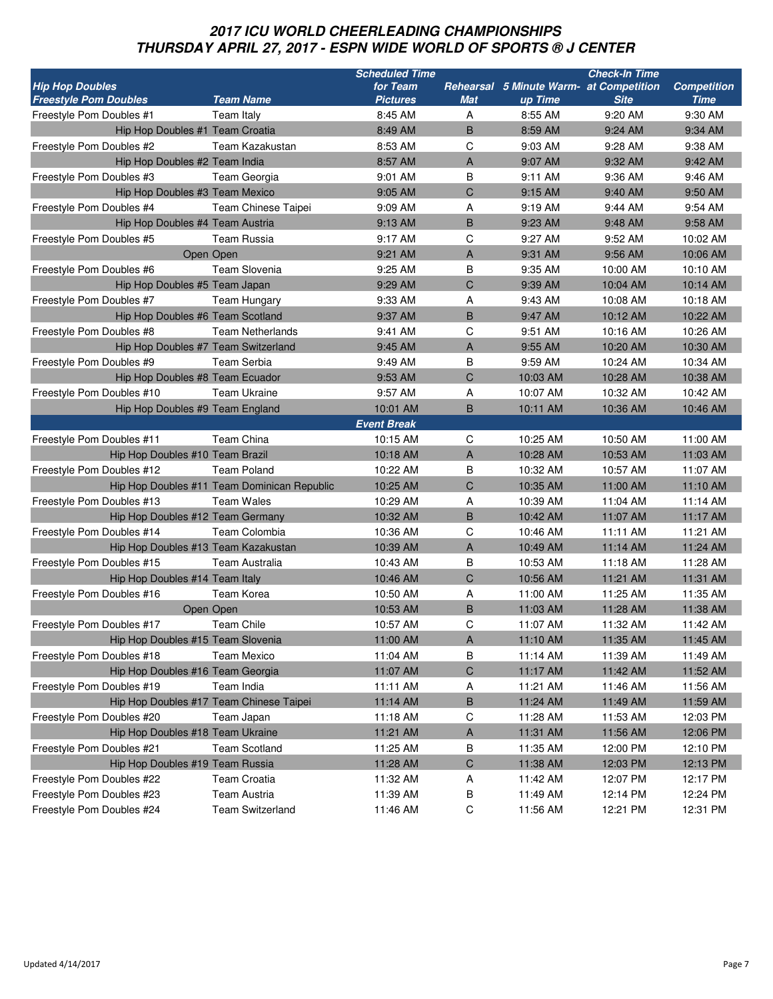# **2017 ICU WORLD CHEERLEADING CHAMPIONSHIPS THURSDAY APRIL 27, 2017 - ESPN WIDE WORLD OF SPORTS ® J CENTER**

|                                     |                                             | <b>Scheduled Time</b> |            |                                         | <b>Check-In Time</b> |                    |
|-------------------------------------|---------------------------------------------|-----------------------|------------|-----------------------------------------|----------------------|--------------------|
| <b>Hip Hop Doubles</b>              |                                             | for Team              |            | Rehearsal 5 Minute Warm- at Competition |                      | <b>Competition</b> |
| <b>Freestyle Pom Doubles</b>        | <b>Team Name</b>                            | <b>Pictures</b>       | <b>Mat</b> | up Time                                 | <b>Site</b>          | <b>Time</b>        |
| Freestyle Pom Doubles #1            | Team Italy                                  | 8:45 AM               | Α          | 8:55 AM                                 | 9:20 AM              | 9:30 AM            |
| Hip Hop Doubles #1 Team Croatia     |                                             | 8:49 AM               | B          | 8:59 AM                                 | 9:24 AM              | 9:34 AM            |
| Freestyle Pom Doubles #2            | Team Kazakustan                             | 8:53 AM               | С          | 9:03 AM                                 | 9:28 AM              | 9:38 AM            |
| Hip Hop Doubles #2 Team India       |                                             | 8:57 AM               | A          | 9:07 AM                                 | 9:32 AM              | 9:42 AM            |
| Freestyle Pom Doubles #3            | Team Georgia                                | 9:01 AM               | В          | 9:11 AM                                 | 9:36 AM              | 9:46 AM            |
| Hip Hop Doubles #3 Team Mexico      |                                             | 9:05 AM               | C          | 9:15 AM                                 | 9:40 AM              | 9:50 AM            |
| Freestyle Pom Doubles #4            | <b>Team Chinese Taipei</b>                  | 9:09 AM               | Α          | 9:19 AM                                 | 9:44 AM              | 9:54 AM            |
| Hip Hop Doubles #4 Team Austria     |                                             | 9:13 AM               | B          | 9:23 AM                                 | 9:48 AM              | 9:58 AM            |
| Freestyle Pom Doubles #5            | <b>Team Russia</b>                          | 9:17 AM               | C          | 9:27 AM                                 | 9:52 AM              | 10:02 AM           |
|                                     | Open Open                                   | 9:21 AM               | A          | 9:31 AM                                 | 9:56 AM              | 10:06 AM           |
| Freestyle Pom Doubles #6            | <b>Team Slovenia</b>                        | 9:25 AM               | B          | 9:35 AM                                 | 10:00 AM             | 10:10 AM           |
| Hip Hop Doubles #5 Team Japan       |                                             | 9:29 AM               | C          | 9:39 AM                                 | 10:04 AM             | 10:14 AM           |
| Freestyle Pom Doubles #7            | <b>Team Hungary</b>                         | 9:33 AM               | Α          | 9:43 AM                                 | 10:08 AM             | 10:18 AM           |
| Hip Hop Doubles #6 Team Scotland    |                                             | 9:37 AM               | B          | 9:47 AM                                 | 10:12 AM             | 10:22 AM           |
| Freestyle Pom Doubles #8            | <b>Team Netherlands</b>                     | 9:41 AM               | С          | 9:51 AM                                 | 10:16 AM             | 10:26 AM           |
| Hip Hop Doubles #7 Team Switzerland |                                             | 9:45 AM               | A          | 9:55 AM                                 | 10:20 AM             | 10:30 AM           |
| Freestyle Pom Doubles #9            | <b>Team Serbia</b>                          | 9:49 AM               | B          | 9:59 AM                                 | 10:24 AM             | 10:34 AM           |
| Hip Hop Doubles #8 Team Ecuador     |                                             | 9:53 AM               | C          | 10:03 AM                                | 10:28 AM             | 10:38 AM           |
| Freestyle Pom Doubles #10           | <b>Team Ukraine</b>                         | 9:57 AM               | Α          | 10:07 AM                                | 10:32 AM             | 10:42 AM           |
| Hip Hop Doubles #9 Team England     |                                             | 10:01 AM              | B          | 10:11 AM                                | 10:36 AM             | 10:46 AM           |
|                                     |                                             | <b>Event Break</b>    |            |                                         |                      |                    |
| Freestyle Pom Doubles #11           | Team China                                  | 10:15 AM              | C          | 10:25 AM                                | 10:50 AM             | 11:00 AM           |
| Hip Hop Doubles #10 Team Brazil     |                                             | 10:18 AM              | A          | 10:28 AM                                | 10:53 AM             | 11:03 AM           |
| Freestyle Pom Doubles #12           | <b>Team Poland</b>                          | 10:22 AM              | В          | 10:32 AM                                | 10:57 AM             | 11:07 AM           |
|                                     | Hip Hop Doubles #11 Team Dominican Republic | 10:25 AM              | C          | 10:35 AM                                | 11:00 AM             | 11:10 AM           |
| Freestyle Pom Doubles #13           | <b>Team Wales</b>                           | 10:29 AM              | А          | 10:39 AM                                | 11:04 AM             | 11:14 AM           |
| Hip Hop Doubles #12 Team Germany    |                                             | 10:32 AM              | B          | 10:42 AM                                | 11:07 AM             | 11:17 AM           |
| Freestyle Pom Doubles #14           | <b>Team Colombia</b>                        | 10:36 AM              | С          | 10:46 AM                                | 11:11 AM             | 11:21 AM           |
| Hip Hop Doubles #13 Team Kazakustan |                                             | 10:39 AM              | A          | 10:49 AM                                | 11:14 AM             | 11:24 AM           |
|                                     |                                             |                       |            |                                         |                      |                    |
| Freestyle Pom Doubles #15           | Team Australia                              | 10:43 AM              | В          | 10:53 AM                                | 11:18 AM             | 11:28 AM           |
| Hip Hop Doubles #14 Team Italy      |                                             | 10:46 AM              | C          | 10:56 AM                                | 11:21 AM             | 11:31 AM           |
| Freestyle Pom Doubles #16           | Team Korea                                  | 10:50 AM              | А          | 11:00 AM                                | 11:25 AM             | 11:35 AM           |
|                                     | Open Open                                   | 10:53 AM              | B          | 11:03 AM                                | 11:28 AM             | 11:38 AM           |
| Freestyle Pom Doubles #17           | <b>Team Chile</b>                           | 10:57 AM              | C          | 11:07 AM                                | 11:32 AM             | 11:42 AM           |
| Hip Hop Doubles #15 Team Slovenia   |                                             | 11:00 AM              | A          | 11:10 AM                                | 11:35 AM             | 11:45 AM           |
| Freestyle Pom Doubles #18           | <b>Team Mexico</b>                          | 11:04 AM              | В          | 11:14 AM                                | 11:39 AM             | 11:49 AM           |
| Hip Hop Doubles #16 Team Georgia    |                                             | 11:07 AM              | C          | 11:17 AM                                | 11:42 AM             | 11:52 AM           |
| Freestyle Pom Doubles #19           | Team India                                  | 11:11 AM              | Α          | 11:21 AM                                | 11:46 AM             | 11:56 AM           |
|                                     | Hip Hop Doubles #17 Team Chinese Taipei     | 11:14 AM              | B          | 11:24 AM                                | 11:49 AM             | 11:59 AM           |
| Freestyle Pom Doubles #20           | Team Japan                                  | 11:18 AM              | С          | 11:28 AM                                | 11:53 AM             | 12:03 PM           |
| Hip Hop Doubles #18 Team Ukraine    |                                             | 11:21 AM              | A          | 11:31 AM                                | 11:56 AM             | 12:06 PM           |
| Freestyle Pom Doubles #21           | <b>Team Scotland</b>                        | 11:25 AM              | В          | 11:35 AM                                | 12:00 PM             | 12:10 PM           |
| Hip Hop Doubles #19 Team Russia     |                                             | 11:28 AM              | C          | 11:38 AM                                | 12:03 PM             | 12:13 PM           |
| Freestyle Pom Doubles #22           | Team Croatia                                | 11:32 AM              | A          | 11:42 AM                                | 12:07 PM             | 12:17 PM           |
| Freestyle Pom Doubles #23           | Team Austria                                | 11:39 AM              | B          | 11:49 AM                                | 12:14 PM             | 12:24 PM           |
| Freestyle Pom Doubles #24           | <b>Team Switzerland</b>                     | 11:46 AM              | C          | 11:56 AM                                | 12:21 PM             | 12:31 PM           |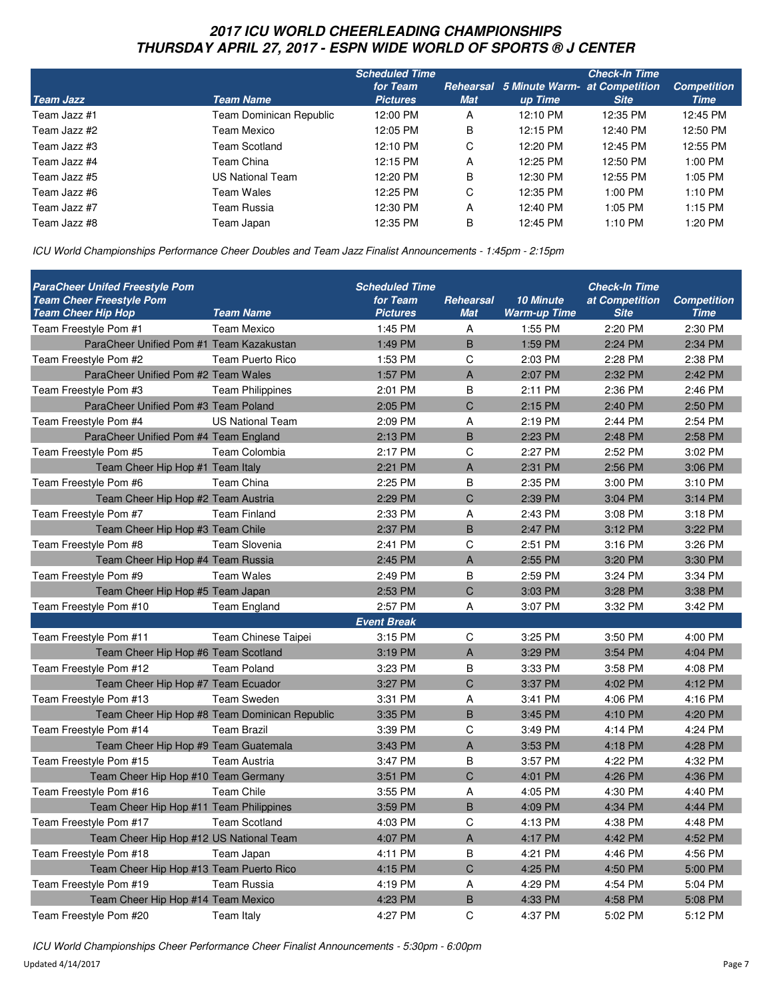# **2017 ICU WORLD CHEERLEADING CHAMPIONSHIPS THURSDAY APRIL 27, 2017 - ESPN WIDE WORLD OF SPORTS ® J CENTER**

|                  |                         | <b>Scheduled Time</b> |            |                                                | <b>Check-In Time</b> |                    |
|------------------|-------------------------|-----------------------|------------|------------------------------------------------|----------------------|--------------------|
|                  |                         | for Team              |            | <b>Rehearsal</b> 5 Minute Warm- at Competition |                      | <b>Competition</b> |
| <b>Team Jazz</b> | <b>Team Name</b>        | <b>Pictures</b>       | <b>Mat</b> | up Time                                        | <b>Site</b>          | Time               |
| Team Jazz #1     | Team Dominican Republic | 12:00 PM              | A          | 12:10 PM                                       | 12:35 PM             | 12:45 PM           |
| Team Jazz #2     | Team Mexico             | 12:05 PM              | B          | 12:15 PM                                       | 12:40 PM             | 12:50 PM           |
| Team Jazz #3     | Team Scotland           | 12:10 PM              | C          | 12:20 PM                                       | 12:45 PM             | 12:55 PM           |
| Team Jazz #4     | Team China              | 12:15 PM              | A          | 12:25 PM                                       | 12:50 PM             | 1:00 PM            |
| Team Jazz #5     | US National Team        | 12:20 PM              | B          | 12:30 PM                                       | 12:55 PM             | 1:05 PM            |
| Team Jazz #6     | Team Wales              | 12:25 PM              | C          | 12:35 PM                                       | 1:00 PM              | $1:10$ PM          |
| Team Jazz #7     | Team Russia             | 12:30 PM              | A          | 12:40 PM                                       | $1:05$ PM            | 1:15 PM            |
| Team Jazz #8     | Team Japan              | 12:35 PM              | B          | 12:45 PM                                       | 1:10 PM              | 1:20 PM            |

ICU World Championships Performance Cheer Doubles and Team Jazz Finalist Announcements - 1:45pm - 2:15pm

| <b>ParaCheer Unifed Freestyle Pom</b><br><b>Team Cheer Freestyle Pom</b><br><b>Team Cheer Hip Hop</b> | <b>Team Name</b>                              | <b>Scheduled Time</b><br>for Team<br><b>Pictures</b> | Rehearsal<br><b>Mat</b> | <b>10 Minute</b><br><b>Warm-up Time</b> | <b>Check-In Time</b><br>at Competition<br><b>Site</b> | <b>Competition</b><br><b>Time</b> |
|-------------------------------------------------------------------------------------------------------|-----------------------------------------------|------------------------------------------------------|-------------------------|-----------------------------------------|-------------------------------------------------------|-----------------------------------|
| Team Freestyle Pom #1                                                                                 | Team Mexico                                   | 1:45 PM                                              | Α                       | 1:55 PM                                 | 2:20 PM                                               | 2:30 PM                           |
| ParaCheer Unified Pom #1 Team Kazakustan                                                              |                                               | 1:49 PM                                              | B                       | 1:59 PM                                 | 2:24 PM                                               | 2:34 PM                           |
| Team Freestyle Pom #2                                                                                 | Team Puerto Rico                              | 1:53 PM                                              | C                       | 2:03 PM                                 | 2:28 PM                                               | 2:38 PM                           |
| ParaCheer Unified Pom #2 Team Wales                                                                   |                                               | 1:57 PM                                              | $\overline{A}$          | 2:07 PM                                 | 2:32 PM                                               | 2:42 PM                           |
| Team Freestyle Pom #3                                                                                 | <b>Team Philippines</b>                       | 2:01 PM                                              | B                       | 2:11 PM                                 | 2:36 PM                                               | 2:46 PM                           |
| ParaCheer Unified Pom #3 Team Poland                                                                  |                                               | 2:05 PM                                              | C                       | 2:15 PM                                 | 2:40 PM                                               | 2:50 PM                           |
| Team Freestyle Pom #4                                                                                 | <b>US National Team</b>                       | 2:09 PM                                              | A                       | 2:19 PM                                 | 2:44 PM                                               | 2:54 PM                           |
| ParaCheer Unified Pom #4 Team England                                                                 |                                               | 2:13 PM                                              | B                       | 2:23 PM                                 | 2:48 PM                                               | 2:58 PM                           |
| Team Freestyle Pom #5                                                                                 | <b>Team Colombia</b>                          | 2:17 PM                                              | C                       | 2:27 PM                                 | 2:52 PM                                               | 3:02 PM                           |
| Team Cheer Hip Hop #1 Team Italy                                                                      |                                               | 2:21 PM                                              | $\overline{A}$          | 2:31 PM                                 | 2:56 PM                                               | 3:06 PM                           |
| Team Freestyle Pom #6                                                                                 | Team China                                    | 2:25 PM                                              | B                       | 2:35 PM                                 | 3:00 PM                                               | 3:10 PM                           |
| Team Cheer Hip Hop #2 Team Austria                                                                    |                                               | 2:29 PM                                              | C                       | 2:39 PM                                 | 3:04 PM                                               | 3:14 PM                           |
| Team Freestyle Pom #7                                                                                 | <b>Team Finland</b>                           | 2:33 PM                                              | Α                       | 2:43 PM                                 | 3:08 PM                                               | 3:18 PM                           |
| Team Cheer Hip Hop #3 Team Chile                                                                      |                                               | 2:37 PM                                              | B                       | 2:47 PM                                 | 3:12 PM                                               | 3:22 PM                           |
| Team Freestyle Pom #8                                                                                 | <b>Team Slovenia</b>                          | 2:41 PM                                              | C                       | 2:51 PM                                 | 3:16 PM                                               | 3:26 PM                           |
| Team Cheer Hip Hop #4 Team Russia                                                                     |                                               | 2:45 PM                                              | $\overline{A}$          | 2:55 PM                                 | 3:20 PM                                               | 3:30 PM                           |
| Team Freestyle Pom #9                                                                                 | <b>Team Wales</b>                             | 2:49 PM                                              | B                       | 2:59 PM                                 | 3:24 PM                                               | 3:34 PM                           |
| Team Cheer Hip Hop #5 Team Japan                                                                      |                                               | 2:53 PM                                              | $\overline{C}$          | 3:03 PM                                 | 3:28 PM                                               | 3:38 PM                           |
| Team Freestyle Pom #10                                                                                | <b>Team England</b>                           | 2:57 PM                                              | Α                       | 3:07 PM                                 | 3:32 PM                                               | 3:42 PM                           |
|                                                                                                       |                                               | <b>Event Break</b>                                   |                         |                                         |                                                       |                                   |
| Team Freestyle Pom #11                                                                                | Team Chinese Taipei                           | 3:15 PM                                              | C                       | 3:25 PM                                 | 3:50 PM                                               | 4:00 PM                           |
| Team Cheer Hip Hop #6 Team Scotland                                                                   |                                               | 3:19 PM                                              | $\overline{A}$          | 3:29 PM                                 | 3:54 PM                                               | 4:04 PM                           |
| Team Freestyle Pom #12                                                                                | <b>Team Poland</b>                            | 3:23 PM                                              | B                       | 3:33 PM                                 | 3:58 PM                                               | 4:08 PM                           |
| Team Cheer Hip Hop #7 Team Ecuador                                                                    |                                               | 3:27 PM                                              | C                       | 3:37 PM                                 | 4:02 PM                                               | 4:12 PM                           |
| Team Freestyle Pom #13                                                                                | <b>Team Sweden</b>                            | 3:31 PM                                              | A                       | 3:41 PM                                 | 4:06 PM                                               | 4:16 PM                           |
|                                                                                                       | Team Cheer Hip Hop #8 Team Dominican Republic | 3:35 PM                                              | B                       | 3:45 PM                                 | 4:10 PM                                               | 4:20 PM                           |
| Team Freestyle Pom #14                                                                                | <b>Team Brazil</b>                            | 3:39 PM                                              | C                       | 3:49 PM                                 | 4:14 PM                                               | 4:24 PM                           |
| Team Cheer Hip Hop #9 Team Guatemala                                                                  |                                               | 3:43 PM                                              | $\overline{A}$          | 3:53 PM                                 | 4:18 PM                                               | 4:28 PM                           |
| Team Freestyle Pom #15                                                                                | <b>Team Austria</b>                           | 3:47 PM                                              | B                       | 3:57 PM                                 | 4:22 PM                                               | 4:32 PM                           |
| Team Cheer Hip Hop #10 Team Germany                                                                   |                                               | 3:51 PM                                              | C                       | 4:01 PM                                 | 4:26 PM                                               | 4:36 PM                           |
| Team Freestyle Pom #16                                                                                | <b>Team Chile</b>                             | 3:55 PM                                              | A                       | 4:05 PM                                 | 4:30 PM                                               | 4:40 PM                           |
| Team Cheer Hip Hop #11 Team Philippines                                                               |                                               | 3:59 PM                                              | B                       | 4:09 PM                                 | 4:34 PM                                               | 4:44 PM                           |
| Team Freestyle Pom #17                                                                                | <b>Team Scotland</b>                          | 4:03 PM                                              | C                       | 4:13 PM                                 | 4:38 PM                                               | 4:48 PM                           |
| Team Cheer Hip Hop #12 US National Team                                                               |                                               | 4:07 PM                                              | A                       | 4:17 PM                                 | 4:42 PM                                               | 4:52 PM                           |
| Team Freestyle Pom #18                                                                                | Team Japan                                    | 4:11 PM                                              | B                       | 4:21 PM                                 | 4:46 PM                                               | 4:56 PM                           |
| Team Cheer Hip Hop #13 Team Puerto Rico                                                               |                                               | 4:15 PM                                              | $\mathsf{C}$            | 4:25 PM                                 | 4:50 PM                                               | 5:00 PM                           |
| Team Freestyle Pom #19                                                                                | <b>Team Russia</b>                            | 4:19 PM                                              | Α                       | 4:29 PM                                 | 4:54 PM                                               | 5:04 PM                           |
| Team Cheer Hip Hop #14 Team Mexico                                                                    |                                               | 4:23 PM                                              | B                       | 4:33 PM                                 | 4:58 PM                                               | 5:08 PM                           |
| Team Freestyle Pom #20                                                                                | Team Italy                                    | 4:27 PM                                              | C                       | 4:37 PM                                 | 5:02 PM                                               | 5:12 PM                           |

ICU World Championships Cheer Performance Cheer Finalist Announcements - 5:30pm - 6:00pm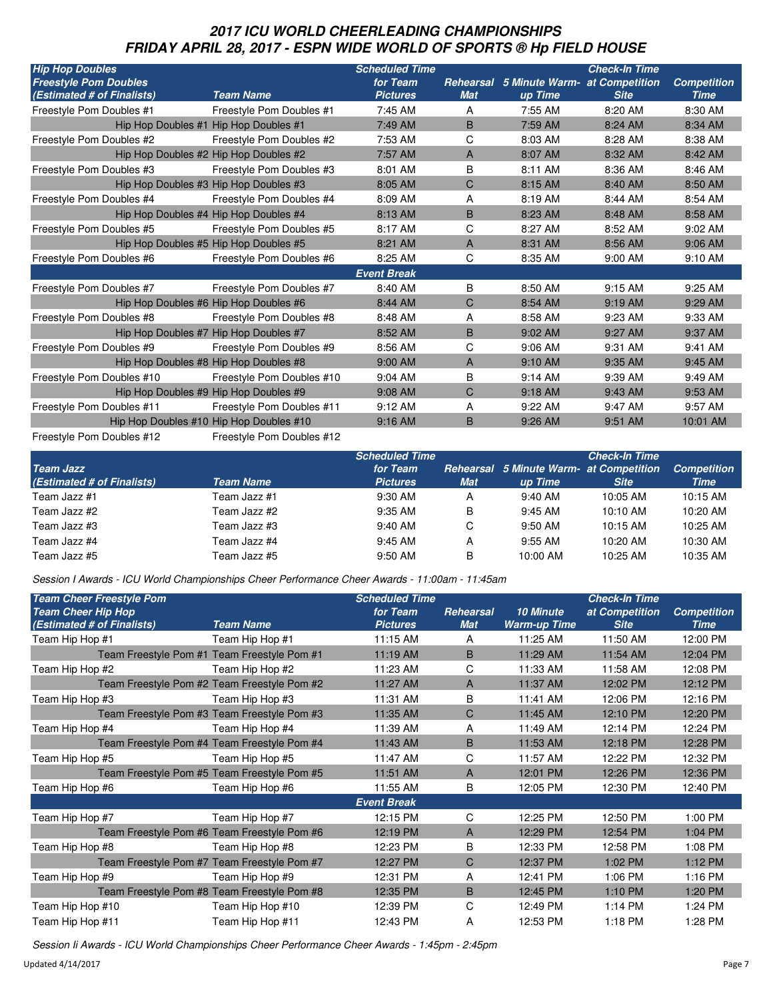# **2017 ICU WORLD CHEERLEADING CHAMPIONSHIPS FRIDAY APRIL 28, 2017 - ESPN WIDE WORLD OF SPORTS ® Hp FIELD HOUSE**

| <b>Hip Hop Doubles</b>       |                                         | <b>Scheduled Time</b> |            |                                                | <b>Check-In Time</b> |                    |
|------------------------------|-----------------------------------------|-----------------------|------------|------------------------------------------------|----------------------|--------------------|
| <b>Freestyle Pom Doubles</b> |                                         | for Team              |            | <b>Rehearsal</b> 5 Minute Warm- at Competition |                      | <b>Competition</b> |
| (Estimated # of Finalists)   | <b>Team Name</b>                        | <b>Pictures</b>       | <b>Mat</b> | up Time                                        | <b>Site</b>          | <b>Time</b>        |
| Freestyle Pom Doubles #1     | Freestyle Pom Doubles #1                | 7:45 AM               | A          | 7:55 AM                                        | 8:20 AM              | 8:30 AM            |
|                              | Hip Hop Doubles #1 Hip Hop Doubles #1   | 7:49 AM               | B          | 7:59 AM                                        | 8:24 AM              | 8:34 AM            |
| Freestyle Pom Doubles #2     | Freestyle Pom Doubles #2                | 7:53 AM               | C          | 8:03 AM                                        | 8:28 AM              | 8:38 AM            |
|                              | Hip Hop Doubles #2 Hip Hop Doubles #2   | 7:57 AM               | A          | 8:07 AM                                        | 8:32 AM              | 8:42 AM            |
| Freestyle Pom Doubles #3     | Freestyle Pom Doubles #3                | 8:01 AM               | B          | 8:11 AM                                        | 8:36 AM              | 8:46 AM            |
|                              | Hip Hop Doubles #3 Hip Hop Doubles #3   | 8:05 AM               | C          | 8:15 AM                                        | 8:40 AM              | 8:50 AM            |
| Freestyle Pom Doubles #4     | Freestyle Pom Doubles #4                | 8:09 AM               | А          | 8:19 AM                                        | 8:44 AM              | 8:54 AM            |
|                              | Hip Hop Doubles #4 Hip Hop Doubles #4   | 8:13 AM               | B          | 8:23 AM                                        | 8:48 AM              | 8:58 AM            |
| Freestyle Pom Doubles #5     | Freestyle Pom Doubles #5                | 8:17 AM               | C          | 8:27 AM                                        | 8:52 AM              | 9:02 AM            |
|                              | Hip Hop Doubles #5 Hip Hop Doubles #5   | 8:21 AM               | A          | 8:31 AM                                        | 8:56 AM              | 9:06 AM            |
| Freestyle Pom Doubles #6     | Freestyle Pom Doubles #6                | 8:25 AM               | C          | 8:35 AM                                        | 9:00 AM              | 9:10 AM            |
|                              |                                         | <b>Event Break</b>    |            |                                                |                      |                    |
| Freestyle Pom Doubles #7     | Freestyle Pom Doubles #7                | 8:40 AM               | B          | 8:50 AM                                        | 9:15 AM              | 9:25 AM            |
|                              | Hip Hop Doubles #6 Hip Hop Doubles #6   | 8:44 AM               | C          | 8:54 AM                                        | 9:19 AM              | 9:29 AM            |
| Freestyle Pom Doubles #8     | Freestyle Pom Doubles #8                | 8:48 AM               | A          | 8:58 AM                                        | 9:23 AM              | 9:33 AM            |
|                              | Hip Hop Doubles #7 Hip Hop Doubles #7   | 8:52 AM               | B          | 9:02 AM                                        | 9:27 AM              | 9:37 AM            |
| Freestyle Pom Doubles #9     | Freestyle Pom Doubles #9                | 8:56 AM               | C          | 9:06 AM                                        | 9:31 AM              | 9:41 AM            |
|                              | Hip Hop Doubles #8 Hip Hop Doubles #8   | 9:00 AM               | A          | 9:10 AM                                        | 9:35 AM              | 9:45 AM            |
| Freestyle Pom Doubles #10    | Freestyle Pom Doubles #10               | 9:04 AM               | B          | 9:14 AM                                        | 9:39 AM              | 9:49 AM            |
|                              | Hip Hop Doubles #9 Hip Hop Doubles #9   | 9:08 AM               | C          | 9:18 AM                                        | 9:43 AM              | 9:53 AM            |
| Freestyle Pom Doubles #11    | Freestyle Pom Doubles #11               | 9:12 AM               | A          | 9:22 AM                                        | 9:47 AM              | 9:57 AM            |
|                              | Hip Hop Doubles #10 Hip Hop Doubles #10 | 9:16 AM               | B          | 9:26 AM                                        | 9:51 AM              | 10:01 AM           |
| Freestyle Pom Doubles #12    | Freestyle Pom Doubles #12               |                       |            |                                                |                      |                    |

| <b>Team Jazz</b><br>(Estimated # of Finalists) | Team Name    | <b>Scheduled Time</b><br>for Team<br><b>Pictures</b> | <b>Mat</b> | Rehearsal 5 Minute Warm- at Competition<br>up Time | <b>Check-In Time</b><br><b>Site</b> | <b>Competition</b><br>Time |
|------------------------------------------------|--------------|------------------------------------------------------|------------|----------------------------------------------------|-------------------------------------|----------------------------|
| Team Jazz #1                                   | Team Jazz #1 | 9:30 AM                                              | A          | $9:40$ AM                                          | 10:05 AM                            | $10:15$ AM                 |
| Team Jazz #2                                   | Team Jazz #2 | $9:35$ AM                                            | B          | $9:45$ AM                                          | $10:10$ AM                          | 10:20 AM                   |
| Team Jazz #3                                   | Team Jazz #3 | 9:40 AM                                              | C          | $9:50$ AM                                          | $10:15$ AM                          | 10:25 AM                   |
| Team Jazz #4                                   | Team Jazz #4 | 9:45 AM                                              | А          | $9:55$ AM                                          | 10:20 AM                            | 10:30 AM                   |
| Team Jazz #5                                   | Team Jazz #5 | 9:50 AM                                              | B          | 10:00 AM                                           | 10:25 AM                            | 10:35 AM                   |

Session I Awards - ICU World Championships Cheer Performance Cheer Awards - 11:00am - 11:45am

| <b>Team Cheer Freestyle Pom</b>             |                                             | <b>Scheduled Time</b> |            |                     | <b>Check-In Time</b> |                    |
|---------------------------------------------|---------------------------------------------|-----------------------|------------|---------------------|----------------------|--------------------|
| <b>Team Cheer Hip Hop</b>                   |                                             | for Team              | Rehearsal  | <b>10 Minute</b>    | at Competition       | <b>Competition</b> |
| (Estimated # of Finalists)                  | <b>Team Name</b>                            | <b>Pictures</b>       | <b>Mat</b> | <b>Warm-up Time</b> | <b>Site</b>          | <b>Time</b>        |
| Team Hip Hop #1                             | Team Hip Hop #1                             | 11:15 AM              | A          | 11:25 AM            | 11:50 AM             | 12:00 PM           |
| Team Freestyle Pom #1 Team Freestyle Pom #1 |                                             | 11:19 AM              | B          | 11:29 AM            | 11:54 AM             | 12:04 PM           |
| Team Hip Hop #2                             | Team Hip Hop #2                             | 11:23 AM              | C          | 11:33 AM            | 11:58 AM             | 12:08 PM           |
|                                             | Team Freestyle Pom #2 Team Freestyle Pom #2 | 11:27 AM              | A          | 11:37 AM            | 12:02 PM             | 12:12 PM           |
| Team Hip Hop #3                             | Team Hip Hop #3                             | 11:31 AM              | В          | 11:41 AM            | 12:06 PM             | 12:16 PM           |
|                                             | Team Freestyle Pom #3 Team Freestyle Pom #3 | 11:35 AM              | C          | 11:45 AM            | 12:10 PM             | 12:20 PM           |
| Team Hip Hop #4                             | Team Hip Hop #4                             | 11:39 AM              | A          | 11:49 AM            | 12:14 PM             | 12:24 PM           |
|                                             | Team Freestyle Pom #4 Team Freestyle Pom #4 | 11:43 AM              | B          | 11:53 AM            | 12:18 PM             | 12:28 PM           |
| Team Hip Hop #5                             | Team Hip Hop #5                             | 11:47 AM              | C          | 11:57 AM            | 12:22 PM             | 12:32 PM           |
|                                             | Team Freestyle Pom #5 Team Freestyle Pom #5 | 11:51 AM              | A          | 12:01 PM            | 12:26 PM             | 12:36 PM           |
| Team Hip Hop #6                             | Team Hip Hop #6                             | 11:55 AM              | B          | 12:05 PM            | 12:30 PM             | 12:40 PM           |
|                                             |                                             | <b>Event Break</b>    |            |                     |                      |                    |
| Team Hip Hop #7                             | Team Hip Hop #7                             | 12:15 PM              | C          | 12:25 PM            | 12:50 PM             | 1:00 PM            |
|                                             | Team Freestyle Pom #6 Team Freestyle Pom #6 | 12:19 PM              | A          | 12:29 PM            | 12:54 PM             | 1:04 PM            |
| Team Hip Hop #8                             | Team Hip Hop #8                             | 12:23 PM              | B          | 12:33 PM            | 12:58 PM             | 1:08 PM            |
|                                             | Team Freestyle Pom #7 Team Freestyle Pom #7 | 12:27 PM              | C          | 12:37 PM            | 1:02 PM              | $1:12$ PM          |
| Team Hip Hop #9                             | Team Hip Hop #9                             | 12:31 PM              | A          | 12:41 PM            | 1:06 PM              | 1:16 PM            |
|                                             | Team Freestyle Pom #8 Team Freestyle Pom #8 | 12:35 PM              | B          | 12:45 PM            | 1:10 PM              | 1:20 PM            |
| Team Hip Hop #10                            | Team Hip Hop #10                            | 12:39 PM              | C          | 12:49 PM            | $1:14$ PM            | 1:24 PM            |
| Team Hip Hop #11                            | Team Hip Hop #11                            | 12:43 PM              | A          | 12:53 PM            | $1:18$ PM            | 1:28 PM            |

Session Ii Awards - ICU World Championships Cheer Performance Cheer Awards - 1:45pm - 2:45pm